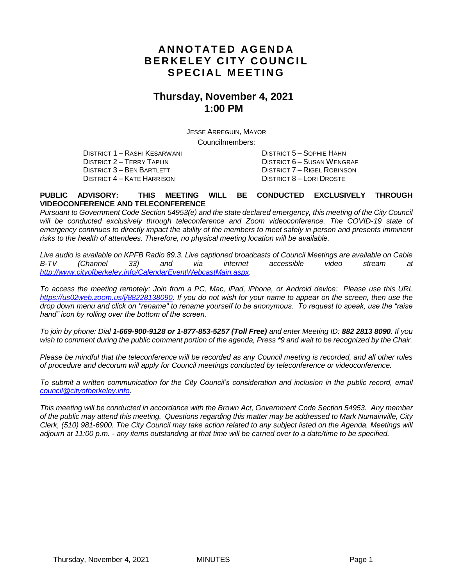### **A N N O T A T E D A GE N D A BERKELEY CITY COUNCIL SPECIAL MEETING**

#### **Thursday, November 4, 2021 1:00 PM**

JESSE ARREGUIN, MAYOR Councilmembers:

DISTRICT 1 – RASHI KESARWANI DISTRICT 5 – SOPHIE HAHN DISTRICT 3 – BEN BARTLETT DISTRICT 7 – RIGEL ROBINSON<br>DISTRICT 4 – KATE HARRISON DISTRICT 8 – LORI DROSTE DISTRICT 4 – KATE HARRISON

DISTRICT 2 – TERRY TAPLIN DISTRICT 6 – SUSAN WENGRAF

#### **PUBLIC ADVISORY: THIS MEETING WILL BE CONDUCTED EXCLUSIVELY THROUGH VIDEOCONFERENCE AND TELECONFERENCE**

*Pursuant to Government Code Section 54953(e) and the state declared emergency, this meeting of the City Council*  will be conducted exclusively through teleconference and Zoom videoconference. The COVID-19 state of *emergency continues to directly impact the ability of the members to meet safely in person and presents imminent risks to the health of attendees. Therefore, no physical meeting location will be available.*

*Live audio is available on KPFB Radio 89.3. Live captioned broadcasts of Council Meetings are available on Cable B-TV (Channel 33) and via internet accessible video stream at [http://www.cityofberkeley.info/CalendarEventWebcastMain.aspx.](http://www.cityofberkeley.info/CalendarEventWebcastMain.aspx)*

*To access the meeting remotely: Join from a PC, Mac, iPad, iPhone, or Android device: Please use this URL [https://us02web.zoom.us/j/88228138090.](https://us02web.zoom.us/j/88228138090) If you do not wish for your name to appear on the screen, then use the drop down menu and click on "rename" to rename yourself to be anonymous. To request to speak, use the "raise hand" icon by rolling over the bottom of the screen.* 

*To join by phone: Dial 1-669-900-9128 or 1-877-853-5257 (Toll Free) and enter Meeting ID: 882 2813 8090. If you*  wish to comment during the public comment portion of the agenda, Press \*9 and wait to be recognized by the Chair.

*Please be mindful that the teleconference will be recorded as any Council meeting is recorded, and all other rules of procedure and decorum will apply for Council meetings conducted by teleconference or videoconference.*

*To submit a written communication for the City Council's consideration and inclusion in the public record, email [council@cityofberkeley.info.](mailto:council@cityofberkeley.info)*

*This meeting will be conducted in accordance with the Brown Act, Government Code Section 54953. Any member of the public may attend this meeting. Questions regarding this matter may be addressed to Mark Numainville, City Clerk, (510) 981-6900. The City Council may take action related to any subject listed on the Agenda. Meetings will adjourn at 11:00 p.m. - any items outstanding at that time will be carried over to a date/time to be specified.*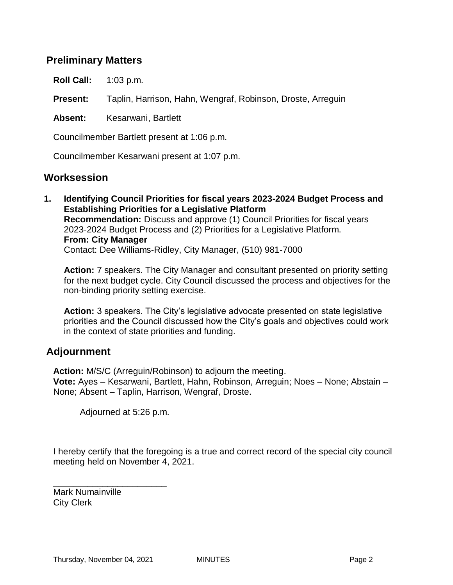#### **Preliminary Matters**

**Roll Call:** 1:03 p.m.

**Present:** Taplin, Harrison, Hahn, Wengraf, Robinson, Droste, Arreguin

**Absent:** Kesarwani, Bartlett

Councilmember Bartlett present at 1:06 p.m.

Councilmember Kesarwani present at 1:07 p.m.

#### **Worksession**

**1. Identifying Council Priorities for fiscal years 2023-2024 Budget Process and Establishing Priorities for a Legislative Platform Recommendation:** Discuss and approve (1) Council Priorities for fiscal years 2023-2024 Budget Process and (2) Priorities for a Legislative Platform. **From: City Manager** Contact: Dee Williams-Ridley, City Manager, (510) 981-7000

**Action:** 7 speakers. The City Manager and consultant presented on priority setting for the next budget cycle. City Council discussed the process and objectives for the non-binding priority setting exercise.

**Action:** 3 speakers. The City's legislative advocate presented on state legislative priorities and the Council discussed how the City's goals and objectives could work in the context of state priorities and funding.

#### **Adjournment**

**Action:** M/S/C (Arreguin/Robinson) to adjourn the meeting. **Vote:** Ayes – Kesarwani, Bartlett, Hahn, Robinson, Arreguin; Noes – None; Abstain – None; Absent – Taplin, Harrison, Wengraf, Droste.

Adjourned at 5:26 p.m.

I hereby certify that the foregoing is a true and correct record of the special city council meeting held on November 4, 2021.

Mark Numainville City Clerk

\_\_\_\_\_\_\_\_\_\_\_\_\_\_\_\_\_\_\_\_\_\_\_